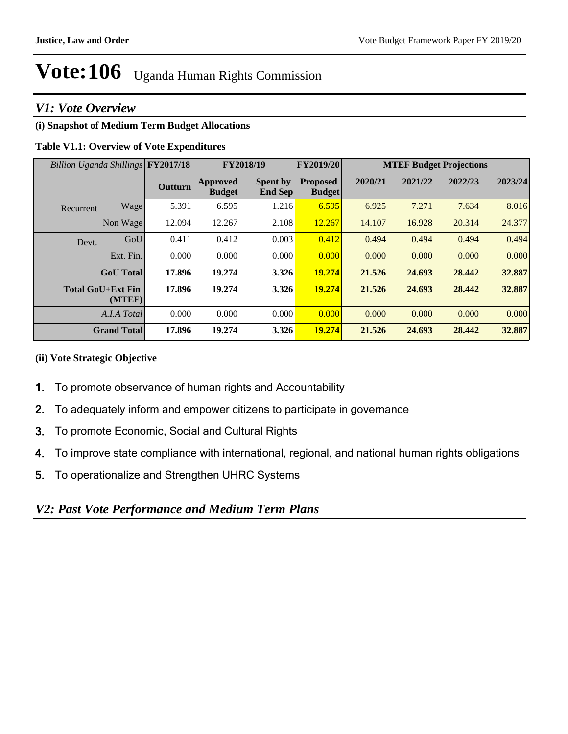## *V1: Vote Overview*

## **(i) Snapshot of Medium Term Budget Allocations**

## **Table V1.1: Overview of Vote Expenditures**

| Billion Uganda Shillings FY2017/18 |                                    |                | FY2018/19                        |                                   | <b>FY2019/20</b>                 | <b>MTEF Budget Projections</b> |         |         |         |
|------------------------------------|------------------------------------|----------------|----------------------------------|-----------------------------------|----------------------------------|--------------------------------|---------|---------|---------|
|                                    |                                    | <b>Outturn</b> | <b>Approved</b><br><b>Budget</b> | <b>Spent by</b><br><b>End Sep</b> | <b>Proposed</b><br><b>Budget</b> | 2020/21                        | 2021/22 | 2022/23 | 2023/24 |
| Recurrent                          | Wage                               | 5.391          | 6.595                            | 1.216                             | 6.595                            | 6.925                          | 7.271   | 7.634   | 8.016   |
|                                    | Non Wage                           | 12.094         | 12.267                           | 2.108                             | 12.267                           | 14.107                         | 16.928  | 20.314  | 24.377  |
| Devt.                              | GoU                                | 0.411          | 0.412                            | 0.003                             | 0.412                            | 0.494                          | 0.494   | 0.494   | 0.494   |
|                                    | Ext. Fin.                          | 0.000          | 0.000                            | 0.000                             | 0.000                            | 0.000                          | 0.000   | 0.000   | 0.000   |
|                                    | <b>GoU</b> Total                   | 17.896         | 19.274                           | 3.326                             | 19.274                           | 21.526                         | 24.693  | 28.442  | 32.887  |
|                                    | <b>Total GoU+Ext Fin</b><br>(MTEF) | 17.896         | 19.274                           | 3.326                             | 19.274                           | 21.526                         | 24.693  | 28.442  | 32.887  |
|                                    | A.I.A Total                        | 0.000          | 0.000                            | 0.000                             | 0.000                            | 0.000                          | 0.000   | 0.000   | 0.000   |
|                                    | <b>Grand Total</b>                 | 17.896         | 19.274                           | 3.326                             | 19.274                           | 21.526                         | 24.693  | 28.442  | 32.887  |

## **(ii) Vote Strategic Objective**

- 1.To promote observance of human rights and Accountability
- 2.To adequately inform and empower citizens to participate in governance
- 3.To promote Economic, Social and Cultural Rights
- 4.To improve state compliance with international, regional, and national human rights obligations
- 5. To operationalize and Strengthen UHRC Systems

## *V2: Past Vote Performance and Medium Term Plans*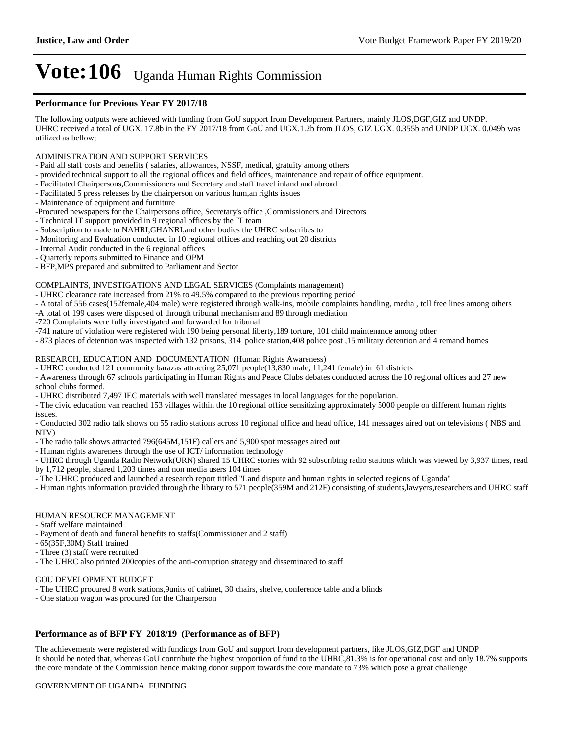#### **Performance for Previous Year FY 2017/18**

The following outputs were achieved with funding from GoU support from Development Partners, mainly JLOS,DGF,GIZ and UNDP. UHRC received a total of UGX. 17.8b in the FY 2017/18 from GoU and UGX.1.2b from JLOS, GIZ UGX. 0.355b and UNDP UGX. 0.049b was utilized as bellow;

#### ADMINISTRATION AND SUPPORT SERVICES

- Paid all staff costs and benefits ( salaries, allowances, NSSF, medical, gratuity among others
- provided technical support to all the regional offices and field offices, maintenance and repair of office equipment.
- Facilitated Chairpersons,Commissioners and Secretary and staff travel inland and abroad
- Facilitated 5 press releases by the chairperson on various hum,an rights issues
- Maintenance of equipment and furniture
- -Procured newspapers for the Chairpersons office, Secretary's office ,Commissioners and Directors
- Technical IT support provided in 9 regional offices by the IT team
- Subscription to made to NAHRI,GHANRI,and other bodies the UHRC subscribes to
- Monitoring and Evaluation conducted in 10 regional offices and reaching out 20 districts
- Internal Audit conducted in the 6 regional offices
- Quarterly reports submitted to Finance and OPM
- BFP,MPS prepared and submitted to Parliament and Sector

#### COMPLAINTS, INVESTIGATIONS AND LEGAL SERVICES (Complaints management)

- UHRC clearance rate increased from 21% to 49.5% compared to the previous reporting period
- A total of 556 cases(152female,404 male) were registered through walk-ins, mobile complaints handling, media , toll free lines among others
- -A total of 199 cases were disposed of through tribunal mechanism and 89 through mediation
- -720 Complaints were fully investigated and forwarded for tribunal
- -741 nature of violation were registered with 190 being personal liberty,189 torture, 101 child maintenance among other
- 873 places of detention was inspected with 132 prisons, 314 police station,408 police post ,15 military detention and 4 remand homes

#### RESEARCH, EDUCATION AND DOCUMENTATION (Human Rights Awareness)

- UHRC conducted 121 community barazas attracting 25,071 people(13,830 male, 11,241 female) in 61 districts

- Awareness through 67 schools participating in Human Rights and Peace Clubs debates conducted across the 10 regional offices and 27 new school clubs formed.

- UHRC distributed 7,497 IEC materials with well translated messages in local languages for the population.

- The civic education van reached 153 villages within the 10 regional office sensitizing approximately 5000 people on different human rights issues.

- Conducted 302 radio talk shows on 55 radio stations across 10 regional office and head office, 141 messages aired out on televisions ( NBS and NTV)

- The radio talk shows attracted 796(645M,151F) callers and 5,900 spot messages aired out
- Human rights awareness through the use of ICT/ information technology

- UHRC through Uganda Radio Network(URN) shared 15 UHRC stories with 92 subscribing radio stations which was viewed by 3,937 times, read by 1,712 people, shared 1,203 times and non media users 104 times

- The UHRC produced and launched a research report tittled "Land dispute and human rights in selected regions of Uganda"
- Human rights information provided through the library to 571 people(359M and 212F) consisting of students,lawyers,researchers and UHRC staff

#### HUMAN RESOURCE MANAGEMENT

- Staff welfare maintained
- Payment of death and funeral benefits to staffs(Commissioner and 2 staff)
- 65(35F,30M) Staff trained
- Three (3) staff were recruited
- The UHRC also printed 200copies of the anti-corruption strategy and disseminated to staff

#### GOU DEVELOPMENT BUDGET

- The UHRC procured 8 work stations,9units of cabinet, 30 chairs, shelve, conference table and a blinds
- One station wagon was procured for the Chairperson

#### **Performance as of BFP FY 2018/19 (Performance as of BFP)**

The achievements were registered with fundings from GoU and support from development partners, like JLOS,GIZ,DGF and UNDP It should be noted that, whereas GoU contribute the highest proportion of fund to the UHRC,81.3% is for operational cost and only 18.7% supports the core mandate of the Commission hence making donor support towards the core mandate to 73% which pose a great challenge

#### GOVERNMENT OF UGANDA FUNDING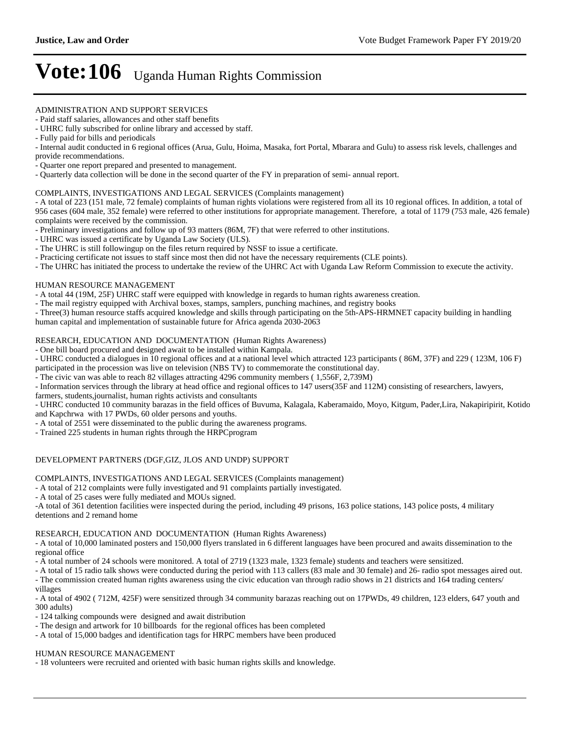#### ADMINISTRATION AND SUPPORT SERVICES

- Paid staff salaries, allowances and other staff benefits

- UHRC fully subscribed for online library and accessed by staff.

- Internal audit conducted in 6 regional offices (Arua, Gulu, Hoima, Masaka, fort Portal, Mbarara and Gulu) to assess risk levels, challenges and provide recommendations.

- Quarter one report prepared and presented to management.

- Quarterly data collection will be done in the second quarter of the FY in preparation of semi- annual report.

#### COMPLAINTS, INVESTIGATIONS AND LEGAL SERVICES (Complaints management)

- A total of 223 (151 male, 72 female) complaints of human rights violations were registered from all its 10 regional offices. In addition, a total of 956 cases (604 male, 352 female) were referred to other institutions for appropriate management. Therefore, a total of 1179 (753 male, 426 female) complaints were received by the commission.

- Preliminary investigations and follow up of 93 matters (86M, 7F) that were referred to other institutions.

- UHRC was issued a certificate by Uganda Law Society (ULS).

- The UHRC is still followingup on the files return required by NSSF to issue a certificate.

- Practicing certificate not issues to staff since most then did not have the necessary requirements (CLE points).

- The UHRC has initiated the process to undertake the review of the UHRC Act with Uganda Law Reform Commission to execute the activity.

#### HUMAN RESOURCE MANAGEMENT

- A total 44 (19M, 25F) UHRC staff were equipped with knowledge in regards to human rights awareness creation.

- The mail registry equipped with Archival boxes, stamps, samplers, punching machines, and registry books

- Three(3) human resource staffs acquired knowledge and skills through participating on the 5th-APS-HRMNET capacity building in handling human capital and implementation of sustainable future for Africa agenda 2030-2063

RESEARCH, EDUCATION AND DOCUMENTATION (Human Rights Awareness)

- One bill board procured and designed await to be installed within Kampala.

- UHRC conducted a dialogues in 10 regional offices and at a national level which attracted 123 participants ( 86M, 37F) and 229 ( 123M, 106 F)

participated in the procession was live on television (NBS TV) to commemorate the constitutional day.

- The civic van was able to reach 82 villages attracting 4296 community members ( 1,556F, 2,739M)

- Information services through the library at head office and regional offices to 147 users(35F and 112M) consisting of researchers, lawyers,

farmers, students,journalist, human rights activists and consultants

- UHRC conducted 10 community barazas in the field offices of Buvuma, Kalagala, Kaberamaido, Moyo, Kitgum, Pader,Lira, Nakapiripirit, Kotido and Kapchrwa with 17 PWDs, 60 older persons and youths.

- A total of 2551 were disseminated to the public during the awareness programs.

- Trained 225 students in human rights through the HRPCprogram

#### DEVELOPMENT PARTNERS (DGF,GIZ, JLOS AND UNDP) SUPPORT

COMPLAINTS, INVESTIGATIONS AND LEGAL SERVICES (Complaints management)

- A total of 212 complaints were fully investigated and 91 complaints partially investigated.

- A total of 25 cases were fully mediated and MOUs signed.

-A total of 361 detention facilities were inspected during the period, including 49 prisons, 163 police stations, 143 police posts, 4 military detentions and 2 remand home

#### RESEARCH, EDUCATION AND DOCUMENTATION (Human Rights Awareness)

- A total of 10,000 laminated posters and 150,000 flyers translated in 6 different languages have been procured and awaits dissemination to the regional office

- A total number of 24 schools were monitored. A total of 2719 (1323 male, 1323 female) students and teachers were sensitized.

- A total of 15 radio talk shows were conducted during the period with 113 callers (83 male and 30 female) and 26- radio spot messages aired out. - The commission created human rights awareness using the civic education van through radio shows in 21 districts and 164 trading centers/

villages - A total of 4902 ( 712M, 425F) were sensitized through 34 community barazas reaching out on 17PWDs, 49 children, 123 elders, 647 youth and 300 adults)

- 124 talking compounds were designed and await distribution

- The design and artwork for 10 billboards for the regional offices has been completed

- A total of 15,000 badges and identification tags for HRPC members have been produced

#### HUMAN RESOURCE MANAGEMENT

- 18 volunteers were recruited and oriented with basic human rights skills and knowledge.

<sup>-</sup> Fully paid for bills and periodicals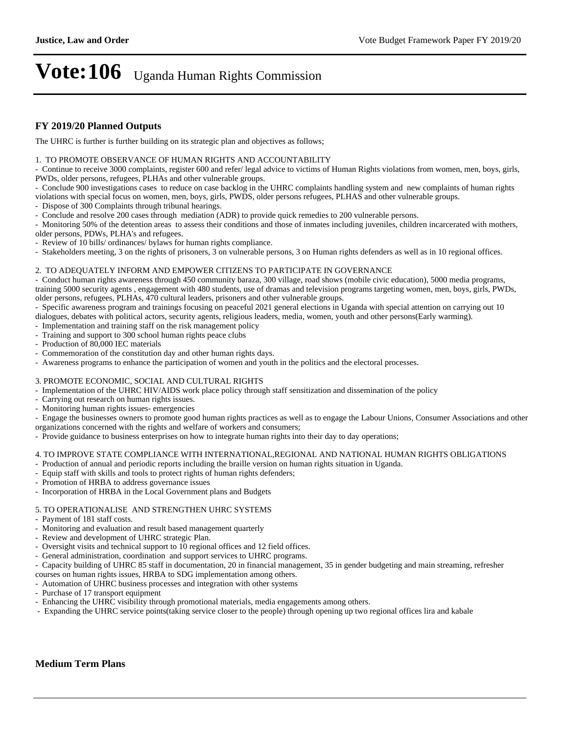## **FY 2019/20 Planned Outputs**

The UHRC is further is further building on its strategic plan and objectives as follows;

1. TO PROMOTE OBSERVANCE OF HUMAN RIGHTS AND ACCOUNTABILITY

- Continue to receive 3000 complaints, register 600 and refer/ legal advice to victims of Human Rights violations from women, men, boys, girls, PWDs, older persons, refugees, PLHAs and other vulnerable groups.

- Conclude 900 investigations cases to reduce on case backlog in the UHRC complaints handling system and new complaints of human rights

violations with special focus on women, men, boys, girls, PWDS, older persons refugees, PLHAS and other vulnerable groups.

- Dispose of 300 Complaints through tribunal hearings.

- Conclude and resolve 200 cases through mediation (ADR) to provide quick remedies to 200 vulnerable persons.

- Monitoring 50% of the detention areas to assess their conditions and those of inmates including juveniles, children incarcerated with mothers, older persons, PDWs, PLHA's and refugees.

- Review of 10 bills/ ordinances/ bylaws for human rights compliance.

- Stakeholders meeting, 3 on the rights of prisoners, 3 on vulnerable persons, 3 on Human rights defenders as well as in 10 regional offices.

#### 2. TO ADEQUATELY INFORM AND EMPOWER CITIZENS TO PARTICIPATE IN GOVERNANCE

- Conduct human rights awareness through 450 community baraza, 300 village, road shows (mobile civic education), 5000 media programs, training 5000 security agents , engagement with 480 students, use of dramas and television programs targeting women, men, boys, girls, PWDs, older persons, refugees, PLHAs, 470 cultural leaders, prisoners and other vulnerable groups.

- Specific awareness program and trainings focusing on peaceful 2021 general elections in Uganda with special attention on carrying out 10

dialogues, debates with political actors, security agents, religious leaders, media, women, youth and other persons(Early warming).

- Implementation and training staff on the risk management policy
- Training and support to 300 school human rights peace clubs
- Production of 80,000 IEC materials
- Commemoration of the constitution day and other human rights days.
- Awareness programs to enhance the participation of women and youth in the politics and the electoral processes.

#### 3. PROMOTE ECONOMIC, SOCIAL AND CULTURAL RIGHTS

- Implementation of the UHRC HIV/AIDS work place policy through staff sensitization and dissemination of the policy

- Carrying out research on human rights issues.
- Monitoring human rights issues- emergencies

- Engage the businesses owners to promote good human rights practices as well as to engage the Labour Unions, Consumer Associations and other organizations concerned with the rights and welfare of workers and consumers;

- Provide guidance to business enterprises on how to integrate human rights into their day to day operations;

### 4. TO IMPROVE STATE COMPLIANCE WITH INTERNATIONAL,REGIONAL AND NATIONAL HUMAN RIGHTS OBLIGATIONS

- Production of annual and periodic reports including the braille version on human rights situation in Uganda.
- Equip staff with skills and tools to protect rights of human rights defenders;
- Promotion of HRBA to address governance issues
- Incorporation of HRBA in the Local Government plans and Budgets

#### 5. TO OPERATIONALISE AND STRENGTHEN UHRC SYSTEMS

- Payment of 181 staff costs.
- Monitoring and evaluation and result based management quarterly
- Review and development of UHRC strategic Plan.
- Oversight visits and technical support to 10 regional offices and 12 field offices.
- General administration, coordination and support services to UHRC programs.
- Capacity building of UHRC 85 staff in documentation, 20 in financial management, 35 in gender budgeting and main streaming, refresher courses on human rights issues, HRBA to SDG implementation among others.
- Automation of UHRC business processes and integration with other systems
- Purchase of 17 transport equipment
- Enhancing the UHRC visibility through promotional materials, media engagements among others.
- Expanding the UHRC service points(taking service closer to the people) through opening up two regional offices lira and kabale

#### **Medium Term Plans**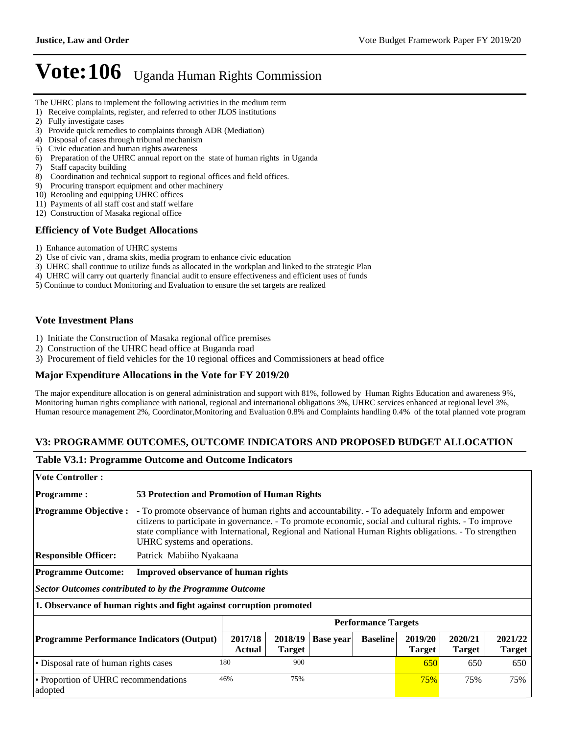- The UHRC plans to implement the following activities in the medium term
- 1) Receive complaints, register, and referred to other JLOS institutions
- 2) Fully investigate cases
- 3) Provide quick remedies to complaints through ADR (Mediation)
- 4) Disposal of cases through tribunal mechanism
- 5) Civic education and human rights awareness
- 6) Preparation of the UHRC annual report on the state of human rights in Uganda
- 7) Staff capacity building
- 8) Coordination and technical support to regional offices and field offices.
- 9) Procuring transport equipment and other machinery
- 10) Retooling and equipping UHRC offices
- 11) Payments of all staff cost and staff welfare
- 12) Construction of Masaka regional office

### **Efficiency of Vote Budget Allocations**

- 1) Enhance automation of UHRC systems
- 2) Use of civic van , drama skits, media program to enhance civic education
- 3) UHRC shall continue to utilize funds as allocated in the workplan and linked to the strategic Plan
- 4) UHRC will carry out quarterly financial audit to ensure effectiveness and efficient uses of funds
- 5) Continue to conduct Monitoring and Evaluation to ensure the set targets are realized

### **Vote Investment Plans**

- 1) Initiate the Construction of Masaka regional office premises
- 2) Construction of the UHRC head office at Buganda road
- 3) Procurement of field vehicles for the 10 regional offices and Commissioners at head office

#### **Major Expenditure Allocations in the Vote for FY 2019/20**

The major expenditure allocation is on general administration and support with 81%, followed by Human Rights Education and awareness 9%, Monitoring human rights compliance with national, regional and international obligations 3%, UHRC services enhanced at regional level 3%, Human resource management 2%, Coordinator,Monitoring and Evaluation 0.8% and Complaints handling 0.4% of the total planned vote program

#### **V3: PROGRAMME OUTCOMES, OUTCOME INDICATORS AND PROPOSED BUDGET ALLOCATION**

#### **Table V3.1: Programme Outcome and Outcome Indicators**

| <b>Vote Controller:</b>                                                            |                                                                                                                                                                                                                                                                                                                                                  |                          |                          |                  |                 |                          |                          |                          |
|------------------------------------------------------------------------------------|--------------------------------------------------------------------------------------------------------------------------------------------------------------------------------------------------------------------------------------------------------------------------------------------------------------------------------------------------|--------------------------|--------------------------|------------------|-----------------|--------------------------|--------------------------|--------------------------|
|                                                                                    |                                                                                                                                                                                                                                                                                                                                                  |                          |                          |                  |                 |                          |                          |                          |
| <b>Programme:</b>                                                                  | 53 Protection and Promotion of Human Rights                                                                                                                                                                                                                                                                                                      |                          |                          |                  |                 |                          |                          |                          |
| <b>Programme Objective:</b>                                                        | - To promote observance of human rights and accountability. - To adequately Inform and empower<br>citizens to participate in governance. - To promote economic, social and cultural rights. - To improve<br>state compliance with International, Regional and National Human Rights obligations. - To strengthen<br>UHRC systems and operations. |                          |                          |                  |                 |                          |                          |                          |
| <b>Responsible Officer:</b>                                                        | Patrick Mabiiho Nyakaana                                                                                                                                                                                                                                                                                                                         |                          |                          |                  |                 |                          |                          |                          |
| <b>Programme Outcome:</b>                                                          | <b>Improved observance of human rights</b>                                                                                                                                                                                                                                                                                                       |                          |                          |                  |                 |                          |                          |                          |
| Sector Outcomes contributed to by the Programme Outcome                            |                                                                                                                                                                                                                                                                                                                                                  |                          |                          |                  |                 |                          |                          |                          |
| 1. Observance of human rights and fight against corruption promoted                |                                                                                                                                                                                                                                                                                                                                                  |                          |                          |                  |                 |                          |                          |                          |
|                                                                                    | <b>Performance Targets</b>                                                                                                                                                                                                                                                                                                                       |                          |                          |                  |                 |                          |                          |                          |
| <b>Programme Performance Indicators (Output)</b>                                   |                                                                                                                                                                                                                                                                                                                                                  | 2017/18<br><b>Actual</b> | 2018/19<br><b>Target</b> | <b>Base year</b> | <b>Baseline</b> | 2019/20<br><b>Target</b> | 2020/21<br><b>Target</b> | 2021/22<br><b>Target</b> |
| • Disposal rate of human rights cases                                              | 180                                                                                                                                                                                                                                                                                                                                              | 900                      |                          |                  | 650             | 650                      | 650                      |                          |
| 46%<br>75%<br>• Proportion of UHRC recommendations<br><b>75%</b><br>75%<br>adopted |                                                                                                                                                                                                                                                                                                                                                  |                          |                          |                  | 75%             |                          |                          |                          |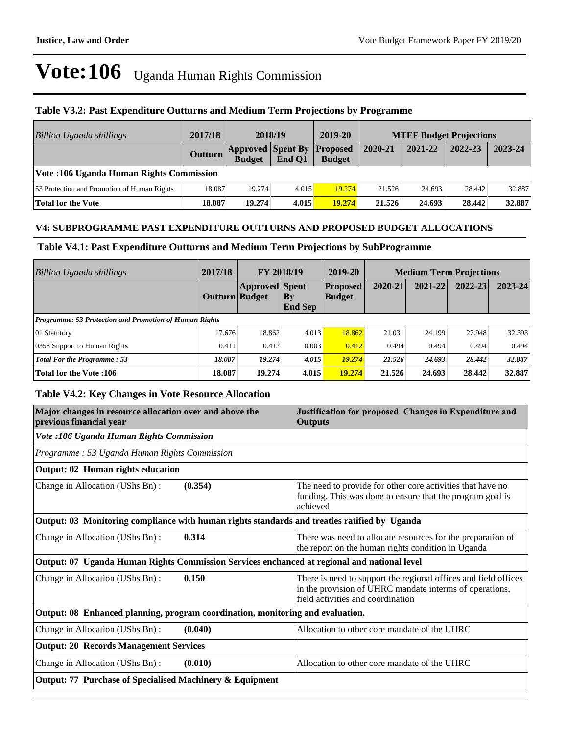### **Table V3.2: Past Expenditure Outturns and Medium Term Projections by Programme**

| <b>Billion Uganda shillings</b>             | 2017/18        | 2018/19                                   |        | 2019-20                          | <b>MTEF Budget Projections</b> |         |         |         |
|---------------------------------------------|----------------|-------------------------------------------|--------|----------------------------------|--------------------------------|---------|---------|---------|
|                                             | <b>Outturn</b> | <b>Approved Spent By</b><br><b>Budget</b> | End O1 | <b>Proposed</b><br><b>Budget</b> | 2020-21                        | 2021-22 | 2022-23 | 2023-24 |
| Vote: 106 Uganda Human Rights Commission    |                |                                           |        |                                  |                                |         |         |         |
| 53 Protection and Promotion of Human Rights | 18.087         | 19.274                                    | 4.015  | 19.274                           | 21.526                         | 24.693  | 28.442  | 32.887  |
| Total for the Vote                          | 18.087         | 19.274                                    | 4.015  | 19.274                           | 21.526                         | 24.693  | 28.442  | 32.887  |

## **V4: SUBPROGRAMME PAST EXPENDITURE OUTTURNS AND PROPOSED BUDGET ALLOCATIONS**

### **Table V4.1: Past Expenditure Outturns and Medium Term Projections by SubProgramme**

| <b>Billion Uganda shillings</b>                               | 2017/18               | <b>FY 2018/19</b>     |                          | 2019-20                          | <b>Medium Term Projections</b> |         |             |             |
|---------------------------------------------------------------|-----------------------|-----------------------|--------------------------|----------------------------------|--------------------------------|---------|-------------|-------------|
|                                                               | <b>Outturn Budget</b> | <b>Approved</b> Spent | $ $ By<br><b>End Sep</b> | <b>Proposed</b><br><b>Budget</b> | 2020-21                        | 2021-22 | $2022 - 23$ | $2023 - 24$ |
| <b>Programme: 53 Protection and Promotion of Human Rights</b> |                       |                       |                          |                                  |                                |         |             |             |
| 01 Statutory                                                  | 17.676                | 18.862                | 4.013                    | 18.862                           | 21.031                         | 24.199  | 27.948      | 32.393      |
| 0358 Support to Human Rights                                  | 0.411                 | 0.412                 | 0.003                    | 0.412                            | 0.494                          | 0.494   | 0.494       | 0.494       |
| <b>Total For the Programme: 53</b>                            | 18.087                | 19.274                | 4.015                    | 19.274                           | 21.526                         | 24.693  | 28.442      | 32.887      |
| <b>Total for the Vote:106</b>                                 | 18.087                | 19.274                | 4.015                    | 19.274                           | 21.526                         | 24.693  | 28.442      | 32.887      |

### **Table V4.2: Key Changes in Vote Resource Allocation**

| Major changes in resource allocation over and above the<br>previous financial year           | Justification for proposed Changes in Expenditure and<br><b>Outputs</b>                                                                                         |  |  |  |  |
|----------------------------------------------------------------------------------------------|-----------------------------------------------------------------------------------------------------------------------------------------------------------------|--|--|--|--|
| Vote :106 Uganda Human Rights Commission                                                     |                                                                                                                                                                 |  |  |  |  |
| Programme: 53 Uganda Human Rights Commission                                                 |                                                                                                                                                                 |  |  |  |  |
| Output: 02 Human rights education                                                            |                                                                                                                                                                 |  |  |  |  |
| (0.354)<br>Change in Allocation (UShs Bn):                                                   | The need to provide for other core activities that have no<br>funding. This was done to ensure that the program goal is<br>achieved                             |  |  |  |  |
| Output: 03 Monitoring compliance with human rights standards and treaties ratified by Uganda |                                                                                                                                                                 |  |  |  |  |
| 0.314<br>Change in Allocation (UShs Bn):                                                     | There was need to allocate resources for the preparation of<br>the report on the human rights condition in Uganda                                               |  |  |  |  |
| Output: 07 Uganda Human Rights Commission Services enchanced at regional and national level  |                                                                                                                                                                 |  |  |  |  |
| 0.150<br>Change in Allocation (UShs Bn):                                                     | There is need to support the regional offices and field offices<br>in the provision of UHRC mandate interms of operations,<br>field activities and coordination |  |  |  |  |
| Output: 08 Enhanced planning, program coordination, monitoring and evaluation.               |                                                                                                                                                                 |  |  |  |  |
| Change in Allocation (UShs Bn):<br>(0.040)                                                   | Allocation to other core mandate of the UHRC                                                                                                                    |  |  |  |  |
| <b>Output: 20 Records Management Services</b>                                                |                                                                                                                                                                 |  |  |  |  |
| (0.010)<br>Change in Allocation (UShs Bn):                                                   | Allocation to other core mandate of the UHRC                                                                                                                    |  |  |  |  |
| Output: 77 Purchase of Specialised Machinery & Equipment                                     |                                                                                                                                                                 |  |  |  |  |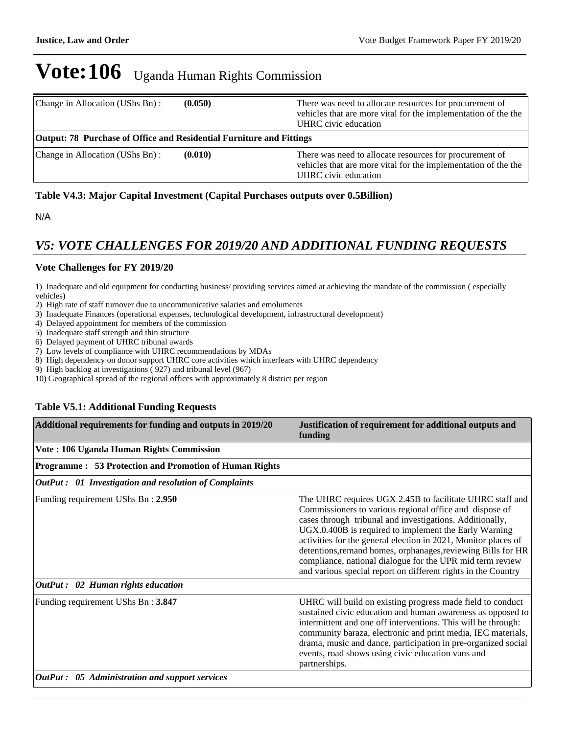| Change in Allocation (UShs Bn):                                      | (0.050) | There was need to allocate resources for procurement of<br>vehicles that are more vital for the implementation of the the<br>UHRC civic education |
|----------------------------------------------------------------------|---------|---------------------------------------------------------------------------------------------------------------------------------------------------|
| Output: 78 Purchase of Office and Residential Furniture and Fittings |         |                                                                                                                                                   |
| Change in Allocation (UShs Bn):                                      | (0.010) | There was need to allocate resources for procurement of<br>vehicles that are more vital for the implementation of the the<br>UHRC civic education |

## **Table V4.3: Major Capital Investment (Capital Purchases outputs over 0.5Billion)**

N/A

## *V5: VOTE CHALLENGES FOR 2019/20 AND ADDITIONAL FUNDING REQUESTS*

## **Vote Challenges for FY 2019/20**

1) Inadequate and old equipment for conducting business/ providing services aimed at achieving the mandate of the commission ( especially vehicles)

2) High rate of staff turnover due to uncommunicative salaries and emoluments

- 3) Inadequate Finances (operational expenses, technological development, infrastructural development)
- 4) Delayed appointment for members of the commission
- 5) Inadequate staff strength and thin structure
- 6) Delayed payment of UHRC tribunal awards
- 7) Low levels of compliance with UHRC recommendations by MDAs
- 8) High dependency on donor support UHRC core activities which interfears with UHRC dependency
- 9) High backlog at investigations ( 927) and tribunal level (967)

10) Geographical spread of the regional offices with approximately 8 district per region

### **Table V5.1: Additional Funding Requests**

| Additional requirements for funding and outputs in 2019/20 | Justification of requirement for additional outputs and<br>funding                                                                                                                                                                                                                                                                                                                                                                                                                                       |
|------------------------------------------------------------|----------------------------------------------------------------------------------------------------------------------------------------------------------------------------------------------------------------------------------------------------------------------------------------------------------------------------------------------------------------------------------------------------------------------------------------------------------------------------------------------------------|
| Vote: 106 Uganda Human Rights Commission                   |                                                                                                                                                                                                                                                                                                                                                                                                                                                                                                          |
| Programme: 53 Protection and Promotion of Human Rights     |                                                                                                                                                                                                                                                                                                                                                                                                                                                                                                          |
| OutPut: 01 Investigation and resolution of Complaints      |                                                                                                                                                                                                                                                                                                                                                                                                                                                                                                          |
| Funding requirement UShs Bn: 2.950                         | The UHRC requires UGX 2.45B to facilitate UHRC staff and<br>Commissioners to various regional office and dispose of<br>cases through tribunal and investigations. Additionally,<br>UGX.0.400B is required to implement the Early Warning<br>activities for the general election in 2021, Monitor places of<br>detentions, remand homes, orphanages, reviewing Bills for HR<br>compliance, national dialogue for the UPR mid term review<br>and various special report on different rights in the Country |
| OutPut : 02 Human rights education                         |                                                                                                                                                                                                                                                                                                                                                                                                                                                                                                          |
| Funding requirement UShs Bn: 3.847                         | UHRC will build on existing progress made field to conduct<br>sustained civic education and human awareness as opposed to<br>intermittent and one off interventions. This will be through:<br>community baraza, electronic and print media, IEC materials,<br>drama, music and dance, participation in pre-organized social<br>events, road shows using civic education vans and<br>partnerships.                                                                                                        |
| OutPut : 05 Administration and support services            |                                                                                                                                                                                                                                                                                                                                                                                                                                                                                                          |